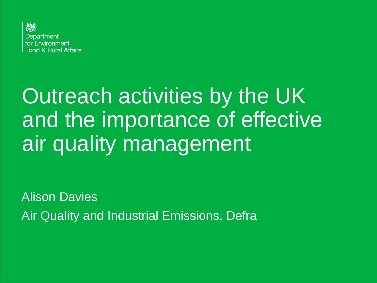

# Outreach activities by the UK and the importance of effective air quality management

Alison Davies Air Quality and Industrial Emissions, Defra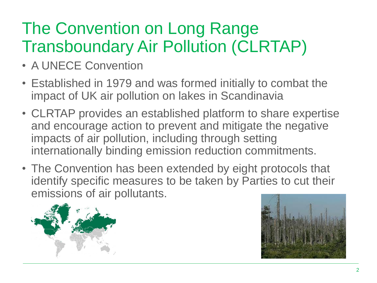### The Convention on Long Range Transboundary Air Pollution (CLRTAP)

- A UNECE Convention
- Established in 1979 and was formed initially to combat the impact of UK air pollution on lakes in Scandinavia
- CLRTAP provides an established platform to share expertise and encourage action to prevent and mitigate the negative impacts of air pollution, including through setting internationally binding emission reduction commitments.
- The Convention has been extended by eight protocols that identify specific measures to be taken by Parties to cut their emissions of air pollutants.



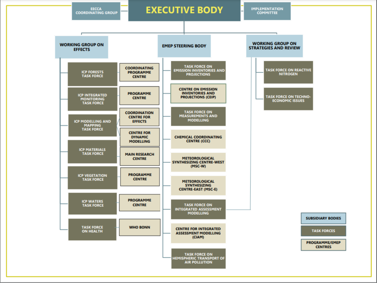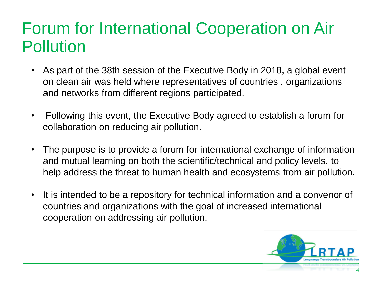#### Forum for International Cooperation on Air Pollution

- As part of the 38th session of the Executive Body in 2018, a global event on clean air was held where representatives of countries , organizations and networks from different regions participated.
- Following this event, the Executive Body agreed to establish a forum for collaboration on reducing air pollution.
- The purpose is to provide a forum for international exchange of information and mutual learning on both the scientific/technical and policy levels, to help address the threat to human health and ecosystems from air pollution.
- It is intended to be a repository for technical information and a convenor of countries and organizations with the goal of increased international cooperation on addressing air pollution.

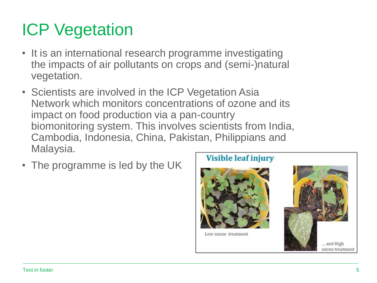## ICP Vegetation

- It is an international research programme investigating the impacts of air pollutants on crops and (semi-)natural vegetation.
- Scientists are involved in the ICP Vegetation Asia Network which monitors concentrations of ozone and its impact on food production via a pan-country biomonitoring system. This involves scientists from India, Cambodia, Indonesia, China, Pakistan, Philippians and Malaysia.
- The programme is led by the UK